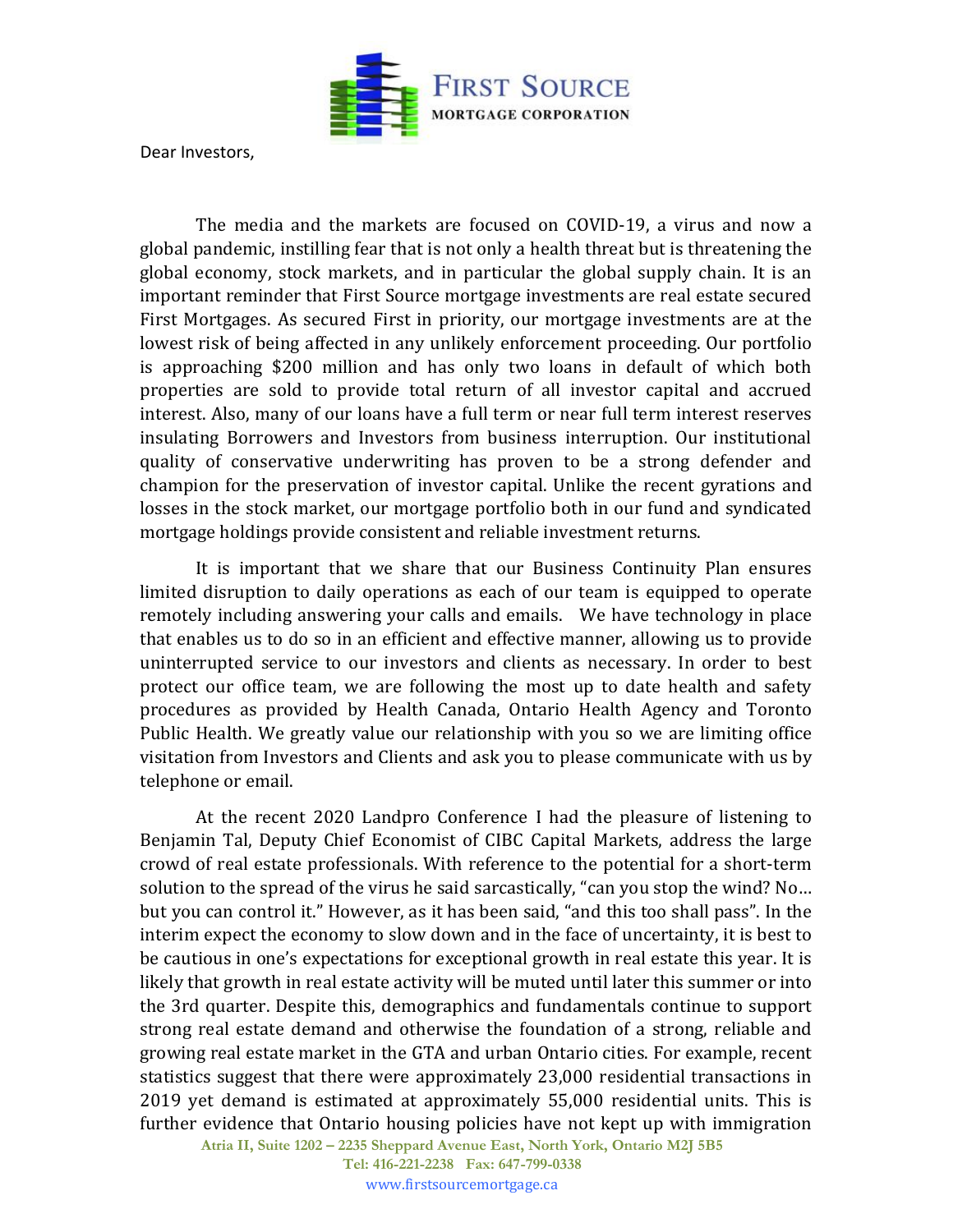

Dear Investors,

The media and the markets are focused on COVID-19, a virus and now a global pandemic, instilling fear that is not only a health threat but is threatening the global economy, stock markets, and in particular the global supply chain. It is an important reminder that First Source mortgage investments are real estate secured First Mortgages. As secured First in priority, our mortgage investments are at the lowest risk of being affected in any unlikely enforcement proceeding. Our portfolio is approaching \$200 million and has only two loans in default of which both properties are sold to provide total return of all investor capital and accrued interest. Also, many of our loans have a full term or near full term interest reserves insulating Borrowers and Investors from business interruption. Our institutional quality of conservative underwriting has proven to be a strong defender and champion for the preservation of investor capital. Unlike the recent gyrations and losses in the stock market, our mortgage portfolio both in our fund and syndicated mortgage holdings provide consistent and reliable investment returns.

It is important that we share that our Business Continuity Plan ensures limited disruption to daily operations as each of our team is equipped to operate remotely including answering your calls and emails. We have technology in place that enables us to do so in an efficient and effective manner, allowing us to provide uninterrupted service to our investors and clients as necessary. In order to best protect our office team, we are following the most up to date health and safety procedures as provided by Health Canada, Ontario Health Agency and Toronto Public Health. We greatly value our relationship with you so we are limiting office visitation from Investors and Clients and ask you to please communicate with us by telephone or email.

At the recent 2020 Landpro Conference I had the pleasure of listening to Benjamin Tal, Deputy Chief Economist of CIBC Capital Markets, address the large crowd of real estate professionals. With reference to the potential for a short-term solution to the spread of the virus he said sarcastically, "can you stop the wind? No… but you can control it." However, as it has been said, "and this too shall pass". In the interim expect the economy to slow down and in the face of uncertainty, it is best to be cautious in one's expectations for exceptional growth in real estate this year. It is likely that growth in real estate activity will be muted until later this summer or into the 3rd quarter. Despite this, demographics and fundamentals continue to support strong real estate demand and otherwise the foundation of a strong, reliable and growing real estate market in the GTA and urban Ontario cities. For example, recent statistics suggest that there were approximately 23,000 residential transactions in 2019 yet demand is estimated at approximately 55,000 residential units. This is further evidence that Ontario housing policies have not kept up with immigration

**Atria II, Suite 1202 – 2235 Sheppard Avenue East, North York, Ontario M2J 5B5** 

**Tel: 416-221-2238 Fax: 647-799-0338** www.firstsourcemortgage.ca